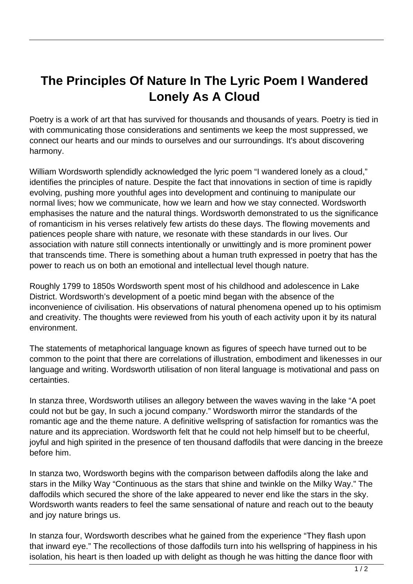## **The Principles Of Nature In The Lyric Poem I Wandered Lonely As A Cloud**

Poetry is a work of art that has survived for thousands and thousands of years. Poetry is tied in with communicating those considerations and sentiments we keep the most suppressed, we connect our hearts and our minds to ourselves and our surroundings. It's about discovering harmony.

William Wordsworth splendidly acknowledged the lyric poem "I wandered lonely as a cloud," identifies the principles of nature. Despite the fact that innovations in section of time is rapidly evolving, pushing more youthful ages into development and continuing to manipulate our normal lives; how we communicate, how we learn and how we stay connected. Wordsworth emphasises the nature and the natural things. Wordsworth demonstrated to us the significance of romanticism in his verses relatively few artists do these days. The flowing movements and patiences people share with nature, we resonate with these standards in our lives. Our association with nature still connects intentionally or unwittingly and is more prominent power that transcends time. There is something about a human truth expressed in poetry that has the power to reach us on both an emotional and intellectual level though nature.

Roughly 1799 to 1850s Wordsworth spent most of his childhood and adolescence in Lake District. Wordsworth's development of a poetic mind began with the absence of the inconvenience of civilisation. His observations of natural phenomena opened up to his optimism and creativity. The thoughts were reviewed from his youth of each activity upon it by its natural environment.

The statements of metaphorical language known as figures of speech have turned out to be common to the point that there are correlations of illustration, embodiment and likenesses in our language and writing. Wordsworth utilisation of non literal language is motivational and pass on certainties.

In stanza three, Wordsworth utilises an allegory between the waves waving in the lake "A poet could not but be gay, In such a jocund company." Wordsworth mirror the standards of the romantic age and the theme nature. A definitive wellspring of satisfaction for romantics was the nature and its appreciation. Wordsworth felt that he could not help himself but to be cheerful, joyful and high spirited in the presence of ten thousand daffodils that were dancing in the breeze before him.

In stanza two, Wordsworth begins with the comparison between daffodils along the lake and stars in the Milky Way "Continuous as the stars that shine and twinkle on the Milky Way." The daffodils which secured the shore of the lake appeared to never end like the stars in the sky. Wordsworth wants readers to feel the same sensational of nature and reach out to the beauty and joy nature brings us.

In stanza four, Wordsworth describes what he gained from the experience "They flash upon that inward eye." The recollections of those daffodils turn into his wellspring of happiness in his isolation, his heart is then loaded up with delight as though he was hitting the dance floor with